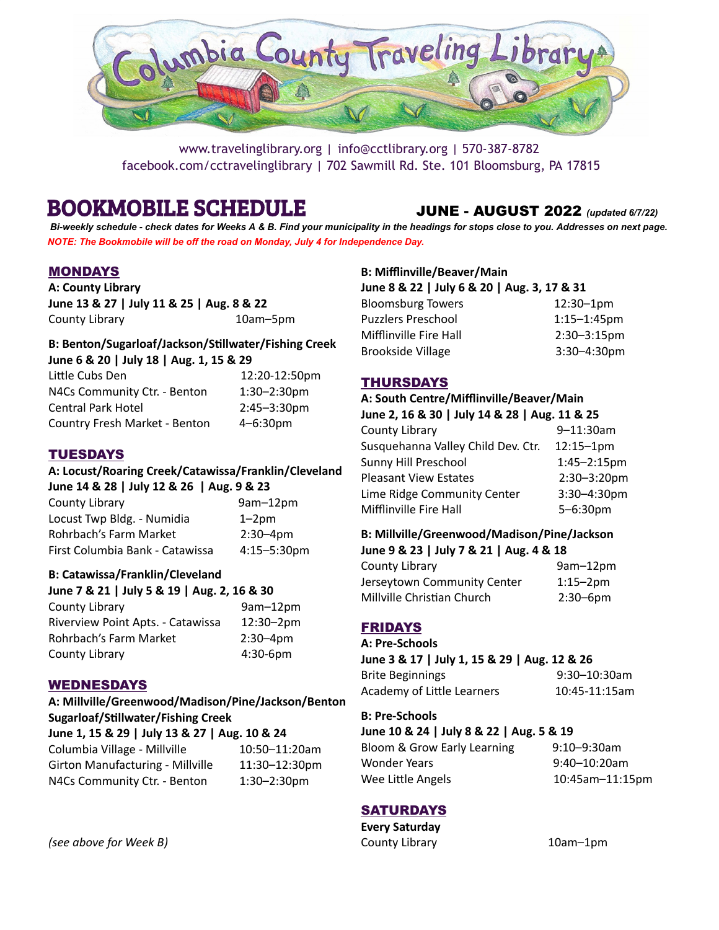

www.travelinglibrary.org | info@cctlibrary.org | 570-387-8782 facebook.com/cctravelinglibrary | 702 Sawmill Rd. Ste. 101 Bloomsburg, PA 17815

# BOOKMOBILE SCHEDULE JUNE - AUGUST 2022 *(updated 6/7/22)*

Bi-weekly schedule - check dates for Weeks A & B. Find your municipality in the headings for stops close to you. Addresses on next page. *NOTE: The Bookmobile will be off the road on Monday, July 4 for Independence Day.*

# MONDAYS

**A: County Library June 13 & 27 | July 11 & 25 | Aug. 8 & 22** County Library 10am–5pm

#### **B: Benton/Sugarloaf/Jackson/Sllwater/Fishing Creek June 6 & 20 | July 18 | Aug. 1, 15 & 29**

| Little Cubs Den               | 12:20-12:50pm    |
|-------------------------------|------------------|
| N4Cs Community Ctr. - Benton  | $1:30 - 2:30$ pm |
| <b>Central Park Hotel</b>     | $2:45 - 3:30$ pm |
| Country Fresh Market - Benton | 4-6:30pm         |

# TUESDAYS

#### **A: Locust/Roaring Creek/Catawissa/Franklin/Cleveland June 14 & 28 | July 12 & 26 | Aug. 9 & 23**

| County Library                  | 9am-12pm         |
|---------------------------------|------------------|
| Locust Twp Bldg. - Numidia      | $1 - 2pm$        |
| Rohrbach's Farm Market          | $2:30 - 4pm$     |
| First Columbia Bank - Catawissa | $4:15 - 5:30$ pm |

### **B: Catawissa/Franklin/Cleveland**

| June 7 & 21   July 5 & 19   Aug. 2, 16 & 30 |              |  |
|---------------------------------------------|--------------|--|
| County Library                              | 9am-12pm     |  |
| Riverview Point Apts. - Catawissa           | 12:30-2pm    |  |
| Rohrbach's Farm Market                      | $2:30 - 4pm$ |  |
| County Library                              | 4:30-6pm     |  |

# WEDNESDAYS

**A: Millville/Greenwood/Madison/Pine/Jackson/Benton Sugarloaf/Sllwater/Fishing Creek June 1, 15 & 29 | July 13 & 27 | Aug. 10 & 24** Columbia Village - Millville 10:50–11:20am Girton Manufacturing - Millville 11:30–12:30pm N4Cs Community Ctr. - Benton 1:30-2:30pm

# **B: Mifflinville/Beaver/Main**

| June 8 & 22   July 6 & 20   Aug. 3, 17 & 31 |                  |  |
|---------------------------------------------|------------------|--|
| <b>Bloomsburg Towers</b>                    | $12:30 - 1pm$    |  |
| <b>Puzzlers Preschool</b>                   | $1:15 - 1:45$ pm |  |
| Mifflinville Fire Hall                      | $2:30 - 3:15$ pm |  |
| <b>Brookside Village</b>                    | $3:30 - 4:30$ pm |  |

# THURSDAYS

#### **A: South Centre/Mifflinville/Beaver/Main**

| June 2, 16 & 30   July 14 & 28   Aug. 11 & 25 |               |
|-----------------------------------------------|---------------|
| County Library                                | 9-11:30am     |
| Susquehanna Valley Child Dev. Ctr.            | $12:15 - 1pm$ |
| Sunny Hill Preschool                          | 1:45-2:15pm   |
| <b>Pleasant View Estates</b>                  | 2:30-3:20pm   |
| Lime Ridge Community Center                   | 3:30-4:30pm   |
| Mifflinville Fire Hall                        | 5-6:30pm      |
|                                               |               |

#### **B: Millville/Greenwood/Madison/Pine/Jackson**

| June 9 & 23   July 7 & 21   Aug. 4 & 18 |               |  |
|-----------------------------------------|---------------|--|
| County Library                          | $9am-12pm$    |  |
| Jerseytown Community Center             | $1:15 - 2pm$  |  |
| Millville Christian Church              | $2:30 - 6$ pm |  |

# FRIDAYS

**A: Pre-Schools June 3 & 17 | July 1, 15 & 29 | Aug. 12 & 26** Brite Beginnings 9:30–10:30am Academy of Little Learners 10:45-11:15am

# **B: Pre-Schools**

**June 10 & 24 | July 8 & 22 | Aug. 5 & 19**

Bloom & Grow Early Learning 9:10-9:30am Wonder Years 8:40-10:20am Wee Little Angels 10:45am-11:15pm

# **SATURDAYS**

**Every Saturday** County Library 10am–1pm

*(see above for Week B)*